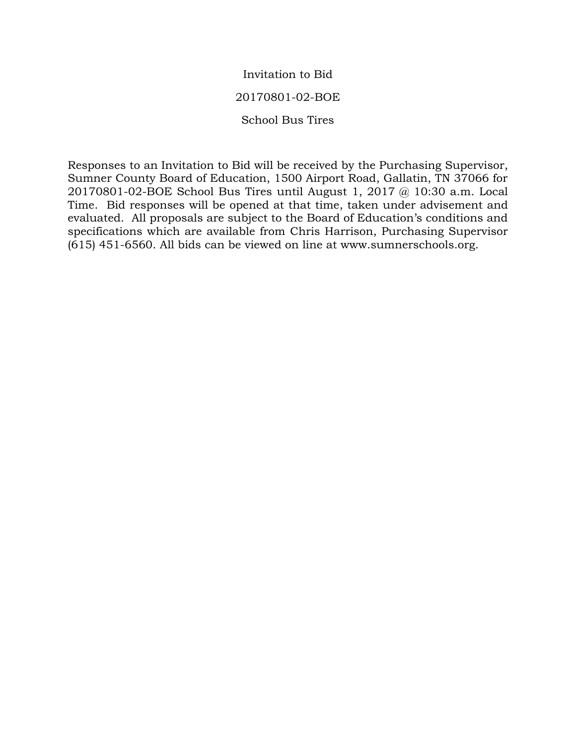# Invitation to Bid 20170801-02-BOE School Bus Tires

Responses to an Invitation to Bid will be received by the Purchasing Supervisor, Sumner County Board of Education, 1500 Airport Road, Gallatin, TN 37066 for 20170801-02-BOE School Bus Tires until August 1, 2017 @ 10:30 a.m. Local Time. Bid responses will be opened at that time, taken under advisement and evaluated. All proposals are subject to the Board of Education's conditions and specifications which are available from Chris Harrison, Purchasing Supervisor (615) 451-6560. All bids can be viewed on line at www.sumnerschools.org.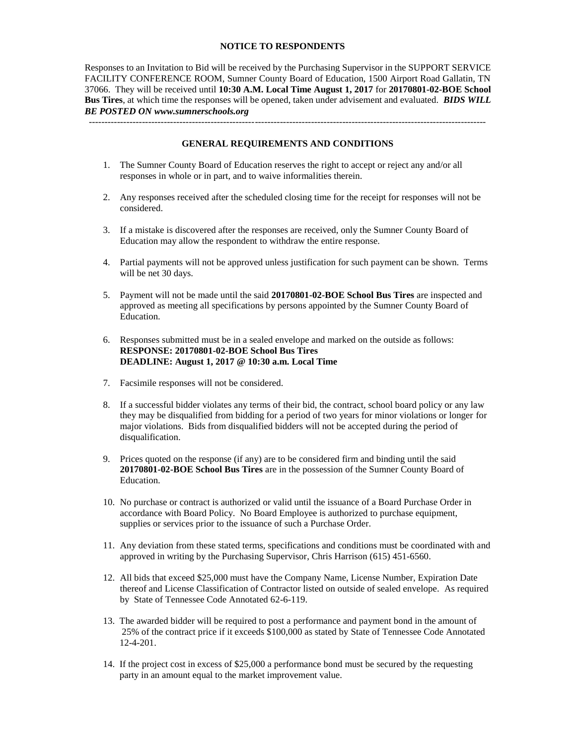#### **NOTICE TO RESPONDENTS**

Responses to an Invitation to Bid will be received by the Purchasing Supervisor in the SUPPORT SERVICE FACILITY CONFERENCE ROOM, Sumner County Board of Education, 1500 Airport Road Gallatin, TN 37066. They will be received until **10:30 A.M. Local Time August 1, 2017** for **20170801-02-BOE School Bus Tires**, at which time the responses will be opened, taken under advisement and evaluated. *BIDS WILL BE POSTED ON www.sumnerschools.org*

**GENERAL REQUIREMENTS AND CONDITIONS**

-------------------------------------------------------------------------------------------------------------------------------

- 1. The Sumner County Board of Education reserves the right to accept or reject any and/or all responses in whole or in part, and to waive informalities therein.
- 2. Any responses received after the scheduled closing time for the receipt for responses will not be considered.
- 3. If a mistake is discovered after the responses are received, only the Sumner County Board of Education may allow the respondent to withdraw the entire response.
- 4. Partial payments will not be approved unless justification for such payment can be shown. Terms will be net 30 days.
- 5. Payment will not be made until the said **20170801-02-BOE School Bus Tires** are inspected and approved as meeting all specifications by persons appointed by the Sumner County Board of Education.
- 6. Responses submitted must be in a sealed envelope and marked on the outside as follows: **RESPONSE: 20170801-02-BOE School Bus Tires DEADLINE: August 1, 2017 @ 10:30 a.m. Local Time**
- 7. Facsimile responses will not be considered.
- 8. If a successful bidder violates any terms of their bid, the contract, school board policy or any law they may be disqualified from bidding for a period of two years for minor violations or longer for major violations. Bids from disqualified bidders will not be accepted during the period of disqualification.
- 9. Prices quoted on the response (if any) are to be considered firm and binding until the said **20170801-02-BOE School Bus Tires** are in the possession of the Sumner County Board of Education.
- 10. No purchase or contract is authorized or valid until the issuance of a Board Purchase Order in accordance with Board Policy. No Board Employee is authorized to purchase equipment, supplies or services prior to the issuance of such a Purchase Order.
- 11. Any deviation from these stated terms, specifications and conditions must be coordinated with and approved in writing by the Purchasing Supervisor, Chris Harrison (615) 451-6560.
- 12. All bids that exceed \$25,000 must have the Company Name, License Number, Expiration Date thereof and License Classification of Contractor listed on outside of sealed envelope. As required by State of Tennessee Code Annotated 62-6-119.
- 13. The awarded bidder will be required to post a performance and payment bond in the amount of 25% of the contract price if it exceeds \$100,000 as stated by State of Tennessee Code Annotated 12-4-201.
- 14. If the project cost in excess of \$25,000 a performance bond must be secured by the requesting party in an amount equal to the market improvement value.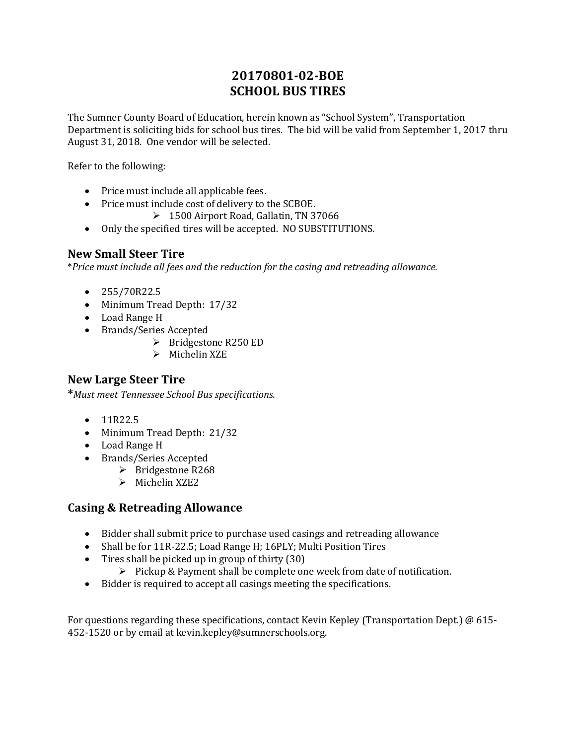## **20170801-02-BOE SCHOOL BUS TIRES**

The Sumner County Board of Education, herein known as "School System", Transportation Department is soliciting bids for school bus tires. The bid will be valid from September 1, 2017 thru August 31, 2018. One vendor will be selected.

Refer to the following:

- Price must include all applicable fees.
- Price must include cost of delivery to the SCBOE.
	- 1500 Airport Road, Gallatin, TN 37066
- Only the specified tires will be accepted. NO SUBSTITUTIONS.

### **New Small Steer Tire**

\**Price must include all fees and the reduction for the casing and retreading allowance.*

- $\bullet$  255/70R22.5
- Minimum Tread Depth: 17/32
- Load Range H
- Brands/Series Accepted
	- $\triangleright$  Bridgestone R250 ED
	- $\triangleright$  Michelin XZE

### **New Large Steer Tire**

**\****Must meet Tennessee School Bus specifications.*

- $-11R22.5$
- Minimum Tread Depth: 21/32
- Load Range H
- Brands/Series Accepted
	- $\triangleright$  Bridgestone R268
	- $\triangleright$  Michelin XZE2

### **Casing & Retreading Allowance**

- Bidder shall submit price to purchase used casings and retreading allowance
- Shall be for 11R-22.5; Load Range H; 16PLY; Multi Position Tires
- Tires shall be picked up in group of thirty (30)
	- $\triangleright$  Pickup & Payment shall be complete one week from date of notification.
- Bidder is required to accept all casings meeting the specifications.

For questions regarding these specifications, contact Kevin Kepley (Transportation Dept.) @ 615- 452-1520 or by email at kevin.kepley@sumnerschools.org.